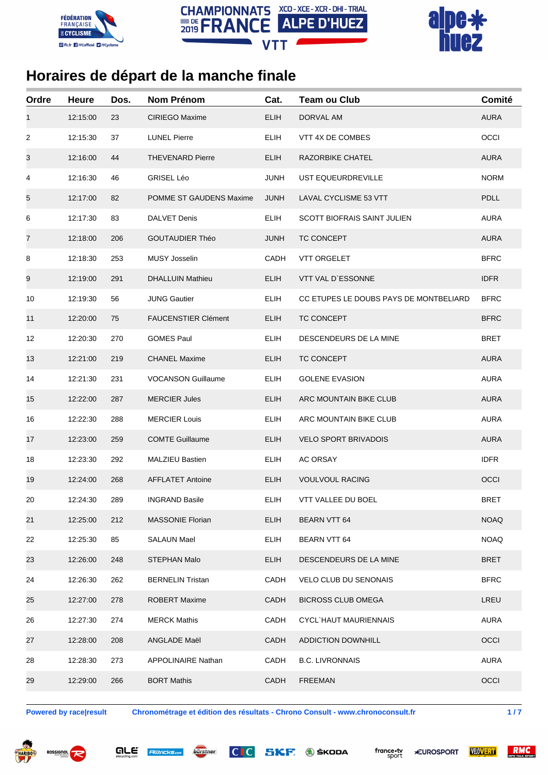





| Ordre | <b>Heure</b> | Dos. | <b>Nom Prénom</b>          | Cat.        | <b>Team ou Club</b>                    | Comité      |
|-------|--------------|------|----------------------------|-------------|----------------------------------------|-------------|
| 1     | 12:15:00     | 23   | CIRIEGO Maxime             | <b>ELIH</b> | DORVAL AM                              | <b>AURA</b> |
| 2     | 12:15:30     | 37   | <b>LUNEL Pierre</b>        | <b>ELIH</b> | VTT 4X DE COMBES                       | OCCI        |
| 3     | 12:16:00     | 44   | <b>THEVENARD Pierre</b>    | <b>ELIH</b> | <b>RAZORBIKE CHATEL</b>                | <b>AURA</b> |
| 4     | 12:16:30     | 46   | <b>GRISEL Léo</b>          | <b>JUNH</b> | UST EQUEURDREVILLE                     | <b>NORM</b> |
| 5     | 12:17:00     | 82   | POMME ST GAUDENS Maxime    | <b>JUNH</b> | LAVAL CYCLISME 53 VTT                  | <b>PDLL</b> |
| 6     | 12:17:30     | 83   | <b>DALVET Denis</b>        | <b>ELIH</b> | <b>SCOTT BIOFRAIS SAINT JULIEN</b>     | <b>AURA</b> |
| 7     | 12:18:00     | 206  | <b>GOUTAUDIER Théo</b>     | <b>JUNH</b> | TC CONCEPT                             | <b>AURA</b> |
| 8     | 12:18:30     | 253  | <b>MUSY Josselin</b>       | CADH        | <b>VTT ORGELET</b>                     | <b>BFRC</b> |
| 9     | 12:19:00     | 291  | <b>DHALLUIN Mathieu</b>    | <b>ELIH</b> | VTT VAL D'ESSONNE                      | <b>IDFR</b> |
| 10    | 12:19:30     | 56   | <b>JUNG Gautier</b>        | <b>ELIH</b> | CC ETUPES LE DOUBS PAYS DE MONTBELIARD | <b>BFRC</b> |
| 11    | 12:20:00     | 75   | <b>FAUCENSTIER Clément</b> | <b>ELIH</b> | TC CONCEPT                             | <b>BFRC</b> |
| 12    | 12:20:30     | 270  | <b>GOMES Paul</b>          | <b>ELIH</b> | DESCENDEURS DE LA MINE                 | BRET        |
| 13    | 12:21:00     | 219  | <b>CHANEL Maxime</b>       | <b>ELIH</b> | TC CONCEPT                             | <b>AURA</b> |
| 14    | 12:21:30     | 231  | <b>VOCANSON Guillaume</b>  | <b>ELIH</b> | <b>GOLENE EVASION</b>                  | <b>AURA</b> |
| 15    | 12:22:00     | 287  | <b>MERCIER Jules</b>       | <b>ELIH</b> | ARC MOUNTAIN BIKE CLUB                 | <b>AURA</b> |
| 16    | 12:22:30     | 288  | <b>MERCIER Louis</b>       | <b>ELIH</b> | ARC MOUNTAIN BIKE CLUB                 | <b>AURA</b> |
| 17    | 12:23:00     | 259  | <b>COMTE Guillaume</b>     | <b>ELIH</b> | <b>VELO SPORT BRIVADOIS</b>            | <b>AURA</b> |
| 18    | 12:23:30     | 292  | <b>MALZIEU Bastien</b>     | <b>ELIH</b> | AC ORSAY                               | <b>IDFR</b> |
| 19    | 12:24:00     | 268  | <b>AFFLATET Antoine</b>    | <b>ELIH</b> | <b>VOULVOUL RACING</b>                 | OCCI        |
| 20    | 12:24:30     | 289  | INGRAND Basile             | <b>ELIH</b> | <b>VTT VALLEE DU BOEL</b>              | <b>BRET</b> |
| 21    | 12:25:00     | 212  | MASSONIE Florian           | <b>ELIH</b> | BEARN VTT 64                           | <b>NOAQ</b> |
| 22    | 12:25:30     | 85   | <b>SALAUN Mael</b>         | <b>ELIH</b> | <b>BEARN VTT 64</b>                    | <b>NOAQ</b> |
| 23    | 12:26:00     | 248  | <b>STEPHAN Malo</b>        | <b>ELIH</b> | DESCENDEURS DE LA MINE                 | <b>BRET</b> |
| 24    | 12:26:30     | 262  | <b>BERNELIN Tristan</b>    | CADH        | <b>VELO CLUB DU SENONAIS</b>           | <b>BFRC</b> |
| 25    | 12:27:00     | 278  | ROBERT Maxime              | <b>CADH</b> | <b>BICROSS CLUB OMEGA</b>              | LREU        |
| 26    | 12:27:30     | 274  | <b>MERCK Mathis</b>        | CADH        | CYCL`HAUT MAURIENNAIS                  | <b>AURA</b> |
| 27    | 12:28:00     | 208  | ANGLADE Maël               | <b>CADH</b> | <b>ADDICTION DOWNHILL</b>              | OCCI        |
| 28    | 12:28:30     | 273  | <b>APPOLINAIRE Nathan</b>  | CADH        | <b>B.C. LIVRONNAIS</b>                 | <b>AURA</b> |
| 29    | 12:29:00     | 266  | <b>BORT Mathis</b>         | CADH        | <b>FREEMAN</b>                         | OCCI        |
|       |              |      |                            |             |                                        |             |

**Powered by race|result Chronométrage et édition des résultats - Chrono Consult - www.chronoconsult.fr 1 / 7**









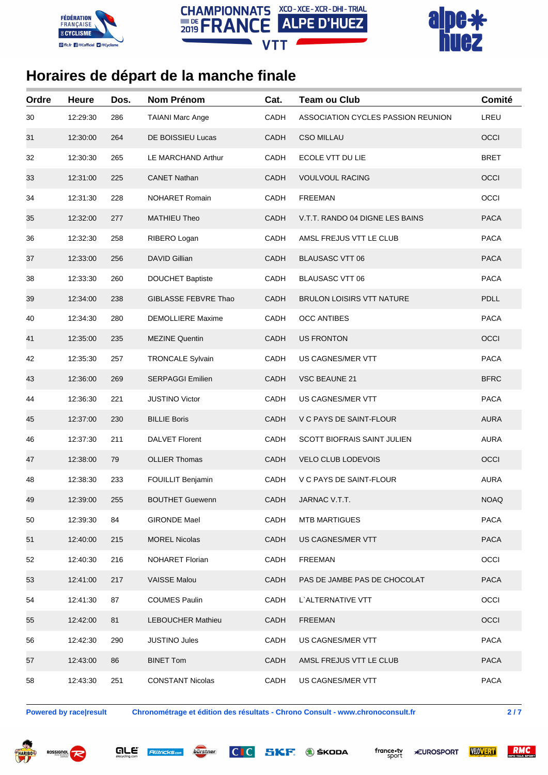





| Ordre | <b>Heure</b> | Dos. | Nom Prénom               | Cat.        | <b>Team ou Club</b>                | Comité      |
|-------|--------------|------|--------------------------|-------------|------------------------------------|-------------|
| 30    | 12:29:30     | 286  | <b>TAIANI Marc Ange</b>  | CADH        | ASSOCIATION CYCLES PASSION REUNION | LREU        |
| 31    | 12:30:00     | 264  | DE BOISSIEU Lucas        | CADH        | <b>CSO MILLAU</b>                  | OCCI        |
| 32    | 12:30:30     | 265  | LE MARCHAND Arthur       | CADH        | ECOLE VTT DU LIE                   | <b>BRET</b> |
| 33    | 12:31:00     | 225  | <b>CANET Nathan</b>      | <b>CADH</b> | <b>VOULVOUL RACING</b>             | OCCI        |
| 34    | 12:31:30     | 228  | NOHARET Romain           | CADH        | <b>FREEMAN</b>                     | OCCI        |
| 35    | 12:32:00     | 277  | <b>MATHIEU Theo</b>      | <b>CADH</b> | V.T.T. RANDO 04 DIGNE LES BAINS    | <b>PACA</b> |
| 36    | 12:32:30     | 258  | RIBERO Logan             | CADH        | AMSL FREJUS VTT LE CLUB            | <b>PACA</b> |
| 37    | 12:33:00     | 256  | <b>DAVID Gillian</b>     | CADH        | <b>BLAUSASC VTT 06</b>             | <b>PACA</b> |
| 38    | 12:33:30     | 260  | <b>DOUCHET Baptiste</b>  | CADH        | <b>BLAUSASC VTT 06</b>             | <b>PACA</b> |
| 39    | 12:34:00     | 238  | GIBLASSE FEBVRE Thao     | CADH        | <b>BRULON LOISIRS VTT NATURE</b>   | <b>PDLL</b> |
| 40    | 12:34:30     | 280  | <b>DEMOLLIERE Maxime</b> | CADH        | <b>OCC ANTIBES</b>                 | <b>PACA</b> |
| 41    | 12:35:00     | 235  | <b>MEZINE Quentin</b>    | <b>CADH</b> | <b>US FRONTON</b>                  | OCCI        |
| 42    | 12:35:30     | 257  | <b>TRONCALE Sylvain</b>  | CADH        | US CAGNES/MER VTT                  | <b>PACA</b> |
| 43    | 12:36:00     | 269  | <b>SERPAGGI Emilien</b>  | CADH        | <b>VSC BEAUNE 21</b>               | <b>BFRC</b> |
| 44    | 12:36:30     | 221  | <b>JUSTINO Victor</b>    | CADH        | US CAGNES/MER VTT                  | <b>PACA</b> |
| 45    | 12:37:00     | 230  | <b>BILLIE Boris</b>      | CADH        | V C PAYS DE SAINT-FLOUR            | <b>AURA</b> |
| 46    | 12:37:30     | 211  | <b>DALVET Florent</b>    | CADH        | <b>SCOTT BIOFRAIS SAINT JULIEN</b> | <b>AURA</b> |
| 47    | 12:38:00     | 79   | <b>OLLIER Thomas</b>     | CADH        | <b>VELO CLUB LODEVOIS</b>          | OCCI        |
| 48    | 12:38:30     | 233  | FOUILLIT Benjamin        | CADH        | V C PAYS DE SAINT-FLOUR            | <b>AURA</b> |
| 49    | 12:39:00     | 255  | <b>BOUTHET Guewenn</b>   | <b>CADH</b> | JARNAC V.T.T.                      | <b>NOAQ</b> |
| 50    | 12:39:30     | 84   | GIRONDE Mael             | <b>CADH</b> | <b>MTB MARTIGUES</b>               | <b>PACA</b> |
| 51    | 12:40:00     | 215  | <b>MOREL Nicolas</b>     | CADH        | US CAGNES/MER VTT                  | <b>PACA</b> |
| 52    | 12:40:30     | 216  | NOHARET Florian          | <b>CADH</b> | <b>FREEMAN</b>                     | OCCI        |
| 53    | 12:41:00     | 217  | <b>VAISSE Malou</b>      | CADH        | PAS DE JAMBE PAS DE CHOCOLAT       | <b>PACA</b> |
| 54    | 12:41:30     | 87   | <b>COUMES Paulin</b>     | CADH        | L'ALTERNATIVE VTT                  | OCCI        |
| 55    | 12:42:00     | 81   | LEBOUCHER Mathieu        | CADH        | FREEMAN                            | OCCI        |
| 56    | 12:42:30     | 290  | <b>JUSTINO Jules</b>     | CADH        | US CAGNES/MER VTT                  | <b>PACA</b> |
| 57    | 12:43:00     | 86   | <b>BINET Tom</b>         | CADH        | AMSL FREJUS VTT LE CLUB            | <b>PACA</b> |
| 58    | 12:43:30     | 251  | <b>CONSTANT Nicolas</b>  | CADH        | US CAGNES/MER VTT                  | <b>PACA</b> |

**Powered by race|result Chronométrage et édition des résultats - Chrono Consult - www.chronoconsult.fr 2 / 7**









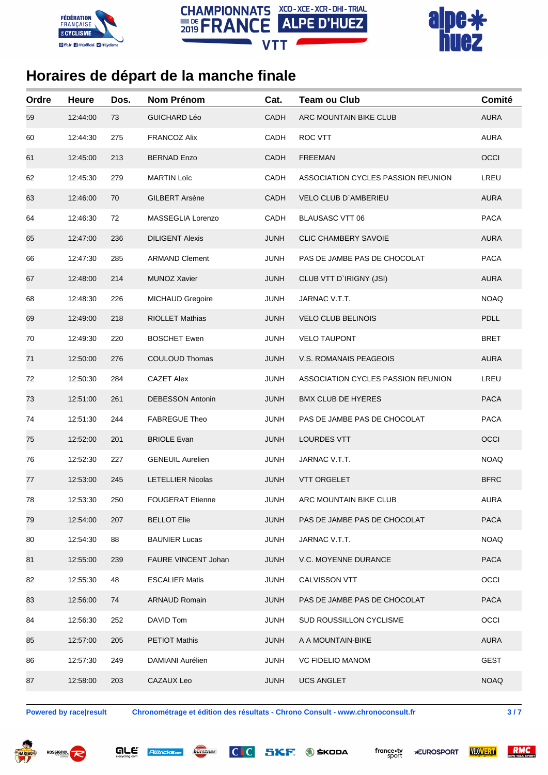





| Ordre | <b>Heure</b> | Dos. | Nom Prénom                 | Cat.        | <b>Team ou Club</b>                | Comité      |
|-------|--------------|------|----------------------------|-------------|------------------------------------|-------------|
| 59    | 12:44:00     | 73   | <b>GUICHARD Léo</b>        | CADH        | ARC MOUNTAIN BIKE CLUB             | <b>AURA</b> |
| 60    | 12:44:30     | 275  | <b>FRANCOZ Alix</b>        | CADH        | ROC VTT                            | <b>AURA</b> |
| 61    | 12:45:00     | 213  | <b>BERNAD Enzo</b>         | CADH        | <b>FREEMAN</b>                     | OCCI        |
| 62    | 12:45:30     | 279  | <b>MARTIN Loïc</b>         | CADH        | ASSOCIATION CYCLES PASSION REUNION | LREU        |
| 63    | 12:46:00     | 70   | <b>GILBERT Arsène</b>      | CADH        | <b>VELO CLUB D'AMBERIEU</b>        | <b>AURA</b> |
| 64    | 12:46:30     | 72   | MASSEGLIA Lorenzo          | CADH        | <b>BLAUSASC VTT 06</b>             | <b>PACA</b> |
| 65    | 12:47:00     | 236  | <b>DILIGENT Alexis</b>     | <b>JUNH</b> | <b>CLIC CHAMBERY SAVOIE</b>        | <b>AURA</b> |
| 66    | 12:47:30     | 285  | <b>ARMAND Clement</b>      | <b>JUNH</b> | PAS DE JAMBE PAS DE CHOCOLAT       | <b>PACA</b> |
| 67    | 12:48:00     | 214  | <b>MUNOZ Xavier</b>        | <b>JUNH</b> | CLUB VTT D'IRIGNY (JSI)            | <b>AURA</b> |
| 68    | 12:48:30     | 226  | MICHAUD Gregoire           | <b>JUNH</b> | JARNAC V.T.T.                      | <b>NOAQ</b> |
| 69    | 12:49:00     | 218  | <b>RIOLLET Mathias</b>     | <b>JUNH</b> | <b>VELO CLUB BELINOIS</b>          | <b>PDLL</b> |
| 70    | 12:49:30     | 220  | <b>BOSCHET Ewen</b>        | JUNH        | <b>VELO TAUPONT</b>                | BRET        |
| 71    | 12:50:00     | 276  | <b>COULOUD Thomas</b>      | <b>JUNH</b> | <b>V.S. ROMANAIS PEAGEOIS</b>      | <b>AURA</b> |
| 72    | 12:50:30     | 284  | <b>CAZET Alex</b>          | JUNH        | ASSOCIATION CYCLES PASSION REUNION | LREU        |
| 73    | 12:51:00     | 261  | <b>DEBESSON Antonin</b>    | <b>JUNH</b> | <b>BMX CLUB DE HYERES</b>          | <b>PACA</b> |
| 74    | 12:51:30     | 244  | <b>FABREGUE Theo</b>       | <b>JUNH</b> | PAS DE JAMBE PAS DE CHOCOLAT       | <b>PACA</b> |
| 75    | 12:52:00     | 201  | <b>BRIOLE Evan</b>         | <b>JUNH</b> | <b>LOURDES VTT</b>                 | OCCI        |
| 76    | 12:52:30     | 227  | <b>GENEUIL Aurelien</b>    | <b>JUNH</b> | JARNAC V.T.T.                      | <b>NOAQ</b> |
| 77    | 12:53:00     | 245  | <b>LETELLIER Nicolas</b>   | JUNH        | <b>VTT ORGELET</b>                 | <b>BFRC</b> |
| 78    | 12:53:30     | 250  | <b>FOUGERAT Etienne</b>    | JUNH        | ARC MOUNTAIN BIKE CLUB             | <b>AURA</b> |
| 79    | 12:54:00     | 207  | <b>BELLOT Elie</b>         | JUNH        | PAS DE JAMBE PAS DE CHOCOLAT       | <b>PACA</b> |
| 80    | 12:54:30     | 88   | <b>BAUNIER Lucas</b>       | <b>JUNH</b> | JARNAC V.T.T.                      | <b>NOAQ</b> |
| 81    | 12:55:00     | 239  | <b>FAURE VINCENT Johan</b> | JUNH        | <b>V.C. MOYENNE DURANCE</b>        | <b>PACA</b> |
| 82    | 12:55:30     | 48   | <b>ESCALIER Matis</b>      | <b>JUNH</b> | CALVISSON VTT                      | OCCI        |
| 83    | 12:56:00     | 74   | <b>ARNAUD Romain</b>       | <b>JUNH</b> | PAS DE JAMBE PAS DE CHOCOLAT       | <b>PACA</b> |
| 84    | 12:56:30     | 252  | DAVID Tom                  | <b>JUNH</b> | SUD ROUSSILLON CYCLISME            | OCCI        |
| 85    | 12:57:00     | 205  | <b>PETIOT Mathis</b>       | JUNH        | A A MOUNTAIN-BIKE                  | <b>AURA</b> |
| 86    | 12:57:30     | 249  | DAMIANI Aurélien           | <b>JUNH</b> | <b>VC FIDELIO MANOM</b>            | <b>GEST</b> |
| 87    | 12:58:00     | 203  | CAZAUX Leo                 | <b>JUNH</b> | <b>UCS ANGLET</b>                  | <b>NOAQ</b> |

are

**Alltricks.com** 

**Powered by race|result Chronométrage et édition des résultats - Chrono Consult - www.chronoconsult.fr 3 / 7**

bürstner

 $|C|C|$ 

SKF.



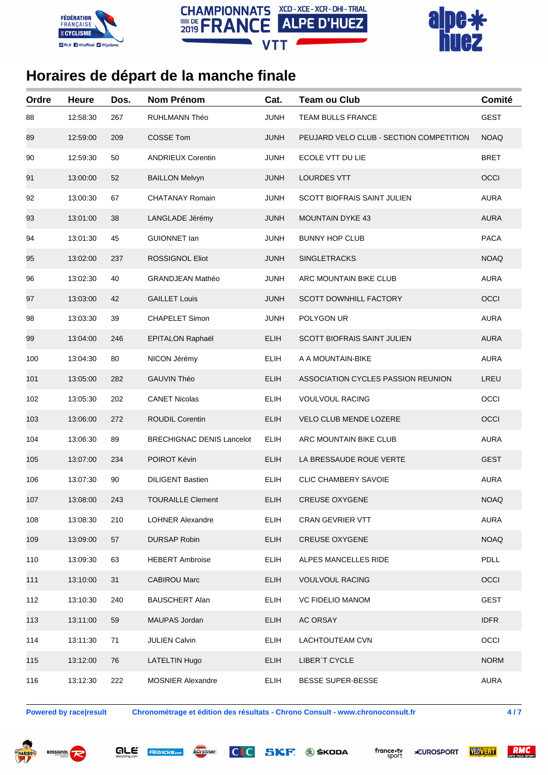





| Ordre | <b>Heure</b> | Dos. | <b>Nom Prénom</b>                | Cat.        | <b>Team ou Club</b>                     | Comité      |
|-------|--------------|------|----------------------------------|-------------|-----------------------------------------|-------------|
| 88    | 12:58:30     | 267  | <b>RUHLMANN Théo</b>             | <b>JUNH</b> | TEAM BULLS FRANCE                       | <b>GEST</b> |
| 89    | 12:59:00     | 209  | <b>COSSE Tom</b>                 | <b>JUNH</b> | PEUJARD VELO CLUB - SECTION COMPETITION | <b>NOAQ</b> |
| 90    | 12:59:30     | 50   | <b>ANDRIEUX Corentin</b>         | JUNH        | ECOLE VTT DU LIE                        | <b>BRET</b> |
| 91    | 13:00:00     | 52   | <b>BAILLON Melvyn</b>            | <b>JUNH</b> | <b>LOURDES VTT</b>                      | OCCI        |
| 92    | 13:00:30     | 67   | <b>CHATANAY Romain</b>           | <b>JUNH</b> | <b>SCOTT BIOFRAIS SAINT JULIEN</b>      | <b>AURA</b> |
| 93    | 13:01:00     | 38   | LANGLADE Jérémy                  | <b>JUNH</b> | <b>MOUNTAIN DYKE 43</b>                 | <b>AURA</b> |
| 94    | 13:01:30     | 45   | <b>GUIONNET lan</b>              | <b>JUNH</b> | <b>BUNNY HOP CLUB</b>                   | <b>PACA</b> |
| 95    | 13:02:00     | 237  | <b>ROSSIGNOL Eliot</b>           | <b>JUNH</b> | <b>SINGLETRACKS</b>                     | <b>NOAQ</b> |
| 96    | 13:02:30     | 40   | <b>GRANDJEAN Mathéo</b>          | <b>JUNH</b> | ARC MOUNTAIN BIKE CLUB                  | <b>AURA</b> |
| 97    | 13:03:00     | 42   | <b>GAILLET Louis</b>             | <b>JUNH</b> | <b>SCOTT DOWNHILL FACTORY</b>           | OCCI        |
| 98    | 13:03:30     | 39   | CHAPELET Simon                   | <b>JUNH</b> | POLYGON UR                              | <b>AURA</b> |
| 99    | 13:04:00     | 246  | <b>EPITALON Raphaël</b>          | <b>ELIH</b> | SCOTT BIOFRAIS SAINT JULIEN             | <b>AURA</b> |
| 100   | 13:04:30     | 80   | NICON Jérémy                     | <b>ELIH</b> | A A MOUNTAIN-BIKE                       | <b>AURA</b> |
| 101   | 13:05:00     | 282  | <b>GAUVIN Théo</b>               | <b>ELIH</b> | ASSOCIATION CYCLES PASSION REUNION      | LREU        |
| 102   | 13:05:30     | 202  | <b>CANET Nicolas</b>             | <b>ELIH</b> | <b>VOULVOUL RACING</b>                  | OCCI        |
| 103   | 13:06:00     | 272  | <b>ROUDIL Corentin</b>           | <b>ELIH</b> | <b>VELO CLUB MENDE LOZERE</b>           | OCCI        |
| 104   | 13:06:30     | 89   | <b>BRECHIGNAC DENIS Lancelot</b> | <b>ELIH</b> | ARC MOUNTAIN BIKE CLUB                  | <b>AURA</b> |
| 105   | 13:07:00     | 234  | POIROT Kévin                     | <b>ELIH</b> | LA BRESSAUDE ROUE VERTE                 | <b>GEST</b> |
| 106   | 13:07:30     | 90   | <b>DILIGENT Bastien</b>          | <b>ELIH</b> | <b>CLIC CHAMBERY SAVOIE</b>             | <b>AURA</b> |
| 107   | 13:08:00     | 243  | <b>TOURAILLE Clement</b>         | <b>ELIH</b> | <b>CREUSE OXYGENE</b>                   | <b>NOAQ</b> |
| 108   | 13:08:30     | 210  | <b>LOHNER Alexandre</b>          | <b>ELIH</b> | <b>CRAN GEVRIER VTT</b>                 | <b>AURA</b> |
| 109   | 13:09:00     | 57   | <b>DURSAP Robin</b>              | <b>ELIH</b> | <b>CREUSE OXYGENE</b>                   | <b>NOAQ</b> |
| 110   | 13:09:30     | 63   | <b>HEBERT Ambroise</b>           | <b>ELIH</b> | ALPES MANCELLES RIDE                    | PDLL        |
| 111   | 13:10:00     | 31   | <b>CABIROU Marc</b>              | <b>ELIH</b> | <b>VOULVOUL RACING</b>                  | OCCI        |
| 112   | 13:10:30     | 240  | <b>BAUSCHERT Alan</b>            | <b>ELIH</b> | <b>VC FIDELIO MANOM</b>                 | <b>GEST</b> |
| 113   | 13:11:00     | 59   | MAUPAS Jordan                    | <b>ELIH</b> | AC ORSAY                                | <b>IDFR</b> |
| 114   | 13:11:30     | 71   | <b>JULIEN Calvin</b>             | <b>ELIH</b> | LACHTOUTEAM CVN                         | OCCI        |
| 115   | 13:12:00     | 76   | <b>LATELTIN Hugo</b>             | <b>ELIH</b> | LIBER'T CYCLE                           | <b>NORM</b> |
| 116   | 13:12:30     | 222  | <b>MOSNIER Alexandre</b>         | <b>ELIH</b> | <b>BESSE SUPER-BESSE</b>                | <b>AURA</b> |

**Powered by race|result Chronométrage et édition des résultats - Chrono Consult - www.chronoconsult.fr 4 / 7**





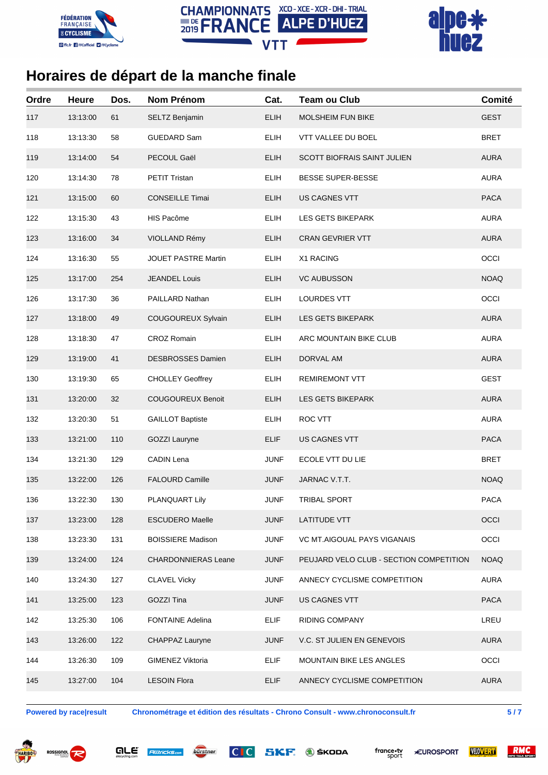





| 117 | 13:13:00 |     |                            |             |                                         |             |
|-----|----------|-----|----------------------------|-------------|-----------------------------------------|-------------|
|     |          | 61  | SELTZ Benjamin             | <b>ELIH</b> | <b>MOLSHEIM FUN BIKE</b>                | <b>GEST</b> |
| 118 | 13:13:30 | 58  | <b>GUEDARD Sam</b>         | <b>ELIH</b> | VTT VALLEE DU BOEL                      | <b>BRET</b> |
| 119 | 13:14:00 | 54  | PECOUL Gaël                | <b>ELIH</b> | <b>SCOTT BIOFRAIS SAINT JULIEN</b>      | <b>AURA</b> |
| 120 | 13:14:30 | 78  | PETIT Tristan              | <b>ELIH</b> | <b>BESSE SUPER-BESSE</b>                | <b>AURA</b> |
| 121 | 13:15:00 | 60  | <b>CONSEILLE Timai</b>     | <b>ELIH</b> | <b>US CAGNES VTT</b>                    | <b>PACA</b> |
| 122 | 13:15:30 | 43  | HIS Pacôme                 | <b>ELIH</b> | LES GETS BIKEPARK                       | <b>AURA</b> |
| 123 | 13:16:00 | 34  | VIOLLAND Rémy              | <b>ELIH</b> | <b>CRAN GEVRIER VTT</b>                 | <b>AURA</b> |
| 124 | 13:16:30 | 55  | <b>JOUET PASTRE Martin</b> | <b>ELIH</b> | X1 RACING                               | OCCI        |
| 125 | 13:17:00 | 254 | <b>JEANDEL Louis</b>       | <b>ELIH</b> | <b>VC AUBUSSON</b>                      | <b>NOAQ</b> |
| 126 | 13:17:30 | 36  | PAILLARD Nathan            | <b>ELIH</b> | LOURDES VTT                             | OCCI        |
| 127 | 13:18:00 | 49  | COUGOUREUX Sylvain         | <b>ELIH</b> | LES GETS BIKEPARK                       | <b>AURA</b> |
| 128 | 13:18:30 | 47  | <b>CROZ Romain</b>         | <b>ELIH</b> | ARC MOUNTAIN BIKE CLUB                  | <b>AURA</b> |
| 129 | 13:19:00 | 41  | <b>DESBROSSES Damien</b>   | <b>ELIH</b> | DORVAL AM                               | <b>AURA</b> |
| 130 | 13:19:30 | 65  | <b>CHOLLEY Geoffrey</b>    | <b>ELIH</b> | <b>REMIREMONT VTT</b>                   | <b>GEST</b> |
| 131 | 13:20:00 | 32  | <b>COUGOUREUX Benoit</b>   | <b>ELIH</b> | LES GETS BIKEPARK                       | <b>AURA</b> |
| 132 | 13:20:30 | 51  | <b>GAILLOT Baptiste</b>    | <b>ELIH</b> | ROC VTT                                 | <b>AURA</b> |
| 133 | 13:21:00 | 110 | GOZZI Lauryne              | <b>ELIF</b> | US CAGNES VTT                           | <b>PACA</b> |
| 134 | 13:21:30 | 129 | CADIN Lena                 | <b>JUNF</b> | ECOLE VTT DU LIE                        | <b>BRET</b> |
| 135 | 13:22:00 | 126 | <b>FALOURD Camille</b>     | <b>JUNF</b> | JARNAC V.T.T.                           | <b>NOAQ</b> |
| 136 | 13:22:30 | 130 | PLANQUART Lily             | <b>JUNF</b> | <b>TRIBAL SPORT</b>                     | <b>PACA</b> |
| 137 | 13:23:00 | 128 | <b>ESCUDERO Maelle</b>     | <b>JUNF</b> | <b>LATITUDE VTT</b>                     | OCCI        |
| 138 | 13:23:30 | 131 | <b>BOISSIERE Madison</b>   | <b>JUNF</b> | <b>VC MT.AIGOUAL PAYS VIGANAIS</b>      | OCCI        |
| 139 | 13:24:00 | 124 | <b>CHARDONNIERAS Leane</b> | <b>JUNF</b> | PEUJARD VELO CLUB - SECTION COMPETITION | <b>NOAQ</b> |
| 140 | 13:24:30 | 127 | <b>CLAVEL Vicky</b>        | <b>JUNF</b> | ANNECY CYCLISME COMPETITION             | <b>AURA</b> |
| 141 | 13:25:00 | 123 | GOZZI Tina                 | <b>JUNF</b> | <b>US CAGNES VTT</b>                    | <b>PACA</b> |
| 142 | 13:25:30 | 106 | <b>FONTAINE Adelina</b>    | <b>ELIF</b> | <b>RIDING COMPANY</b>                   | LREU        |
| 143 | 13:26:00 | 122 | CHAPPAZ Lauryne            | <b>JUNF</b> | V.C. ST JULIEN EN GENEVOIS              | <b>AURA</b> |
| 144 | 13:26:30 | 109 | GIMENEZ Viktoria           | <b>ELIF</b> | MOUNTAIN BIKE LES ANGLES                | OCCI        |
| 145 | 13:27:00 | 104 | <b>LESOIN Flora</b>        | <b>ELIF</b> | ANNECY CYCLISME COMPETITION             | <b>AURA</b> |

**Powered by race|result Chronométrage et édition des résultats - Chrono Consult - www.chronoconsult.fr 5 / 7**







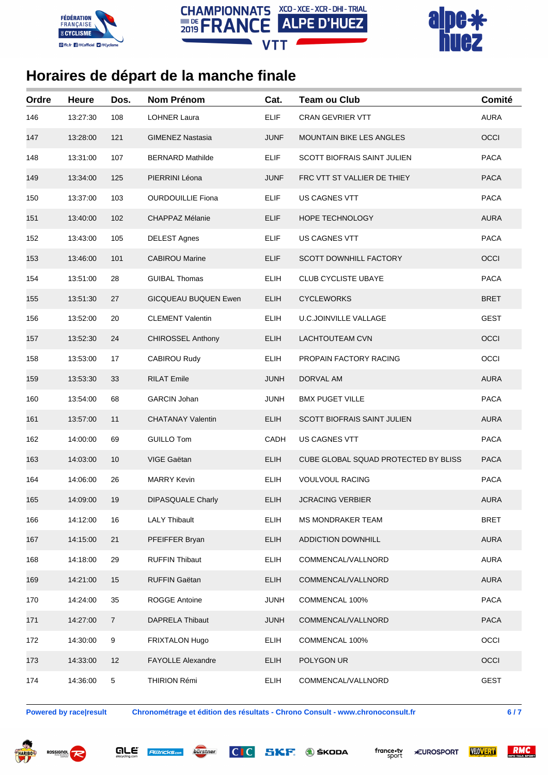





| Ordre | <b>Heure</b> | Dos.             | <b>Nom Prénom</b>           | Cat.        | <b>Team ou Club</b>                  | Comité      |
|-------|--------------|------------------|-----------------------------|-------------|--------------------------------------|-------------|
| 146   | 13:27:30     | 108              | <b>LOHNER Laura</b>         | <b>ELIF</b> | <b>CRAN GEVRIER VTT</b>              | <b>AURA</b> |
| 147   | 13:28:00     | 121              | <b>GIMENEZ Nastasia</b>     | JUNF        | <b>MOUNTAIN BIKE LES ANGLES</b>      | OCCI        |
| 148   | 13:31:00     | 107              | <b>BERNARD Mathilde</b>     | <b>ELIF</b> | <b>SCOTT BIOFRAIS SAINT JULIEN</b>   | <b>PACA</b> |
| 149   | 13:34:00     | 125              | PIERRINI Léona              | <b>JUNF</b> | FRC VTT ST VALLIER DE THIEY          | <b>PACA</b> |
| 150   | 13:37:00     | 103              | <b>OURDOUILLIE Fiona</b>    | <b>ELIF</b> | US CAGNES VTT                        | <b>PACA</b> |
| 151   | 13:40:00     | 102              | CHAPPAZ Mélanie             | <b>ELIF</b> | HOPE TECHNOLOGY                      | <b>AURA</b> |
| 152   | 13:43:00     | 105              | <b>DELEST Agnes</b>         | <b>ELIF</b> | US CAGNES VTT                        | <b>PACA</b> |
| 153   | 13:46:00     | 101              | <b>CABIROU Marine</b>       | <b>ELIF</b> | <b>SCOTT DOWNHILL FACTORY</b>        | OCCI        |
| 154   | 13:51:00     | 28               | <b>GUIBAL Thomas</b>        | <b>ELIH</b> | <b>CLUB CYCLISTE UBAYE</b>           | <b>PACA</b> |
| 155   | 13:51:30     | 27               | <b>GICQUEAU BUQUEN Ewen</b> | <b>ELIH</b> | <b>CYCLEWORKS</b>                    | <b>BRET</b> |
| 156   | 13:52:00     | 20               | <b>CLEMENT Valentin</b>     | <b>ELIH</b> | <b>U.C.JOINVILLE VALLAGE</b>         | <b>GEST</b> |
| 157   | 13:52:30     | 24               | <b>CHIROSSEL Anthony</b>    | <b>ELIH</b> | <b>LACHTOUTEAM CVN</b>               | OCCI        |
| 158   | 13:53:00     | 17               | <b>CABIROU Rudy</b>         | <b>ELIH</b> | PROPAIN FACTORY RACING               | OCCI        |
| 159   | 13:53:30     | 33               | <b>RILAT Emile</b>          | <b>JUNH</b> | DORVAL AM                            | <b>AURA</b> |
| 160   | 13:54:00     | 68               | <b>GARCIN Johan</b>         | <b>JUNH</b> | <b>BMX PUGET VILLE</b>               | <b>PACA</b> |
| 161   | 13:57:00     | 11               | <b>CHATANAY Valentin</b>    | <b>ELIH</b> | <b>SCOTT BIOFRAIS SAINT JULIEN</b>   | <b>AURA</b> |
| 162   | 14:00:00     | 69               | <b>GUILLO Tom</b>           | CADH        | US CAGNES VTT                        | <b>PACA</b> |
| 163   | 14:03:00     | 10               | VIGE Gaëtan                 | <b>ELIH</b> | CUBE GLOBAL SQUAD PROTECTED BY BLISS | <b>PACA</b> |
| 164   | 14:06:00     | 26               | <b>MARRY Kevin</b>          | <b>ELIH</b> | <b>VOULVOUL RACING</b>               | <b>PACA</b> |
| 165   | 14:09:00     | 19               | <b>DIPASQUALE Charly</b>    | <b>ELIH</b> | <b>JCRACING VERBIER</b>              | <b>AURA</b> |
| 166   | 14:12:00     | 16               | <b>LALY Thibault</b>        | <b>ELIH</b> | <b>MS MONDRAKER TEAM</b>             | <b>BRET</b> |
| 167   | 14:15:00     | 21               | PFEIFFER Bryan              | <b>ELIH</b> | <b>ADDICTION DOWNHILL</b>            | <b>AURA</b> |
| 168   | 14:18:00     | 29               | <b>RUFFIN Thibaut</b>       | <b>ELIH</b> | COMMENCAL/VALLNORD                   | <b>AURA</b> |
| 169   | 14:21:00     | 15               | <b>RUFFIN Gaëtan</b>        | <b>ELIH</b> | COMMENCAL/VALLNORD                   | <b>AURA</b> |
| 170   | 14:24:00     | 35               | ROGGE Antoine               | <b>JUNH</b> | COMMENCAL 100%                       | <b>PACA</b> |
| 171   | 14:27:00     | $\overline{7}$   | <b>DAPRELA Thibaut</b>      | <b>JUNH</b> | COMMENCAL/VALLNORD                   | <b>PACA</b> |
| 172   | 14:30:00     | $\boldsymbol{9}$ | FRIXTALON Hugo              | <b>ELIH</b> | COMMENCAL 100%                       | OCCI        |
| 173   | 14:33:00     | 12               | <b>FAYOLLE Alexandre</b>    | <b>ELIH</b> | POLYGON UR                           | OCCI        |
| 174   | 14:36:00     | 5                | THIRION Rémi                | <b>ELIH</b> | COMMENCAL/VALLNORD                   | <b>GEST</b> |

**Powered by race|result Chronométrage et édition des résultats - Chrono Consult - www.chronoconsult.fr 6 / 7**